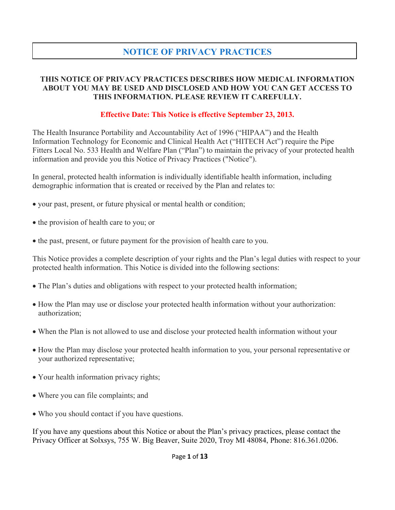### **NOTICE OF PRIVACY PRACTICES**

#### **THIS NOTICE OF PRIVACY PRACTICES DESCRIBES HOW MEDICAL INFORMATION ABOUT YOU MAY BE USED AND DISCLOSED AND HOW YOU CAN GET ACCESS TO THIS INFORMATION. PLEASE REVIEW IT CAREFULLY.**

#### **Effective Date: This Notice is effective September 23, 2013.**

The Health Insurance Portability and Accountability Act of 1996 ("HIPAA") and the Health Information Technology for Economic and Clinical Health Act ("HITECH Act") require the Pipe Fitters Local No. 533 Health and Welfare Plan ("Plan") to maintain the privacy of your protected health information and provide you this Notice of Privacy Practices ("Notice").

In general, protected health information is individually identifiable health information, including demographic information that is created or received by the Plan and relates to:

- your past, present, or future physical or mental health or condition;
- the provision of health care to you; or
- the past, present, or future payment for the provision of health care to you.

This Notice provides a complete description of your rights and the Plan's legal duties with respect to your protected health information. This Notice is divided into the following sections:

- The Plan's duties and obligations with respect to your protected health information;
- How the Plan may use or disclose your protected health information without your authorization: authorization;
- When the Plan is not allowed to use and disclose your protected health information without your
- How the Plan may disclose your protected health information to you, your personal representative or your authorized representative;
- Your health information privacy rights;
- Where you can file complaints; and
- Who you should contact if you have questions.

If you have any questions about this Notice or about the Plan's privacy practices, please contact the Privacy Officer at Solxsys, 755 W. Big Beaver, Suite 2020, Troy MI 48084, Phone: 816.361.0206.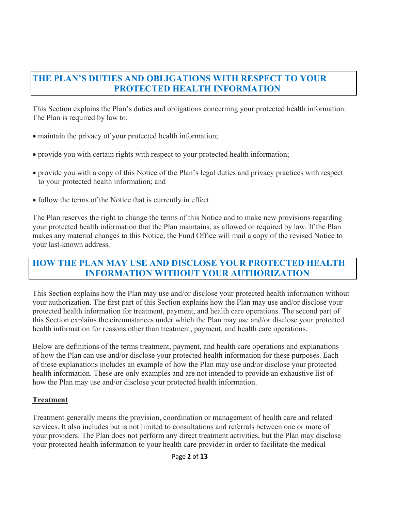### **THE PLAN'S DUTIES AND OBLIGATIONS WITH RESPECT TO YOUR PROTECTED HEALTH INFORMATION**

This Section explains the Plan's duties and obligations concerning your protected health information. The Plan is required by law to:

- maintain the privacy of your protected health information;
- provide you with certain rights with respect to your protected health information;
- provide you with a copy of this Notice of the Plan's legal duties and privacy practices with respect to your protected health information; and
- follow the terms of the Notice that is currently in effect.

The Plan reserves the right to change the terms of this Notice and to make new provisions regarding your protected health information that the Plan maintains, as allowed or required by law. If the Plan makes any material changes to this Notice, the Fund Office will mail a copy of the revised Notice to your last-known address.

### **HOW THE PLAN MAY USE AND DISCLOSE YOUR PROTECTED HEALTH INFORMATION WITHOUT YOUR AUTHORIZATION**

This Section explains how the Plan may use and/or disclose your protected health information without your authorization. The first part of this Section explains how the Plan may use and/or disclose your protected health information for treatment, payment, and health care operations. The second part of this Section explains the circumstances under which the Plan may use and/or disclose your protected health information for reasons other than treatment, payment, and health care operations.

Below are definitions of the terms treatment, payment, and health care operations and explanations of how the Plan can use and/or disclose your protected health information for these purposes. Each of these explanations includes an example of how the Plan may use and/or disclose your protected health information. These are only examples and are not intended to provide an exhaustive list of how the Plan may use and/or disclose your protected health information.

### **Treatment**

Treatment generally means the provision, coordination or management of health care and related services. It also includes but is not limited to consultations and referrals between one or more of your providers. The Plan does not perform any direct treatment activities, but the Plan may disclose your protected health information to your health care provider in order to facilitate the medical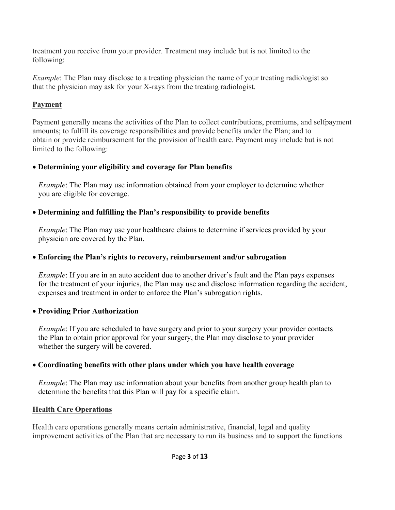treatment you receive from your provider. Treatment may include but is not limited to the following:

*Example*: The Plan may disclose to a treating physician the name of your treating radiologist so that the physician may ask for your X-rays from the treating radiologist.

### **Payment**

Payment generally means the activities of the Plan to collect contributions, premiums, and selfpayment amounts; to fulfill its coverage responsibilities and provide benefits under the Plan; and to obtain or provide reimbursement for the provision of health care. Payment may include but is not limited to the following:

### • **Determining your eligibility and coverage for Plan benefits**

 *Example*: The Plan may use information obtained from your employer to determine whether you are eligible for coverage.

### • **Determining and fulfilling the Plan's responsibility to provide benefits**

*Example*: The Plan may use your healthcare claims to determine if services provided by your physician are covered by the Plan.

### • **Enforcing the Plan's rights to recovery, reimbursement and/or subrogation**

*Example*: If you are in an auto accident due to another driver's fault and the Plan pays expenses for the treatment of your injuries, the Plan may use and disclose information regarding the accident, expenses and treatment in order to enforce the Plan's subrogation rights.

### • **Providing Prior Authorization**

*Example*: If you are scheduled to have surgery and prior to your surgery your provider contacts the Plan to obtain prior approval for your surgery, the Plan may disclose to your provider whether the surgery will be covered.

### • **Coordinating benefits with other plans under which you have health coverage**

*Example*: The Plan may use information about your benefits from another group health plan to determine the benefits that this Plan will pay for a specific claim.

### **Health Care Operations**

Health care operations generally means certain administrative, financial, legal and quality improvement activities of the Plan that are necessary to run its business and to support the functions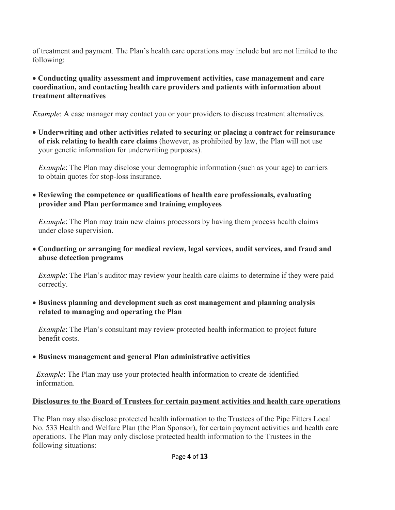of treatment and payment. The Plan's health care operations may include but are not limited to the following:

#### • **Conducting quality assessment and improvement activities, case management and care coordination, and contacting health care providers and patients with information about treatment alternatives**

*Example*: A case manager may contact you or your providers to discuss treatment alternatives.

• **Underwriting and other activities related to securing or placing a contract for reinsurance of risk relating to health care claims** (however, as prohibited by law, the Plan will not use your genetic information for underwriting purposes).

*Example*: The Plan may disclose your demographic information (such as your age) to carriers to obtain quotes for stop-loss insurance.

• **Reviewing the competence or qualifications of health care professionals, evaluating provider and Plan performance and training employees** 

*Example*: The Plan may train new claims processors by having them process health claims under close supervision.

• **Conducting or arranging for medical review, legal services, audit services, and fraud and abuse detection programs**

*Example*: The Plan's auditor may review your health care claims to determine if they were paid correctly.

• **Business planning and development such as cost management and planning analysis related to managing and operating the Plan** 

*Example*: The Plan's consultant may review protected health information to project future benefit costs.

### • **Business management and general Plan administrative activities**

*Example*: The Plan may use your protected health information to create de-identified information.

### **Disclosures to the Board of Trustees for certain payment activities and health care operations**

The Plan may also disclose protected health information to the Trustees of the Pipe Fitters Local No. 533 Health and Welfare Plan (the Plan Sponsor), for certain payment activities and health care operations. The Plan may only disclose protected health information to the Trustees in the following situations: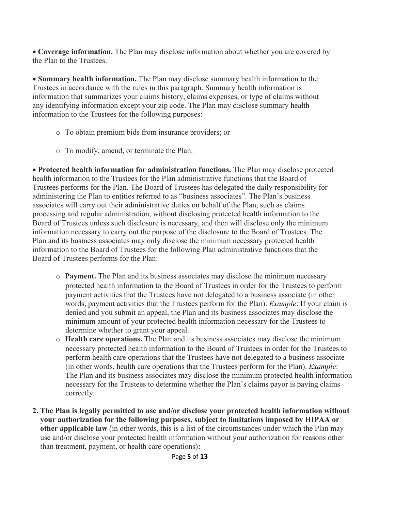• **Coverage information.** The Plan may disclose information about whether you are covered by the Plan to the Trustees.

• **Summary health information.** The Plan may disclose summary health information to the Trustees in accordance with the rules in this paragraph. Summary health information is information that summarizes your claims history, claims expenses, or type of claims without any identifying information except your zip code. The Plan may disclose summary health information to the Trustees for the following purposes:

- o To obtain premium bids from insurance providers; or
- o To modify, amend, or terminate the Plan.

• **Protected health information for administration functions.** The Plan may disclose protected health information to the Trustees for the Plan administrative functions that the Board of Trustees performs for the Plan. The Board of Trustees has delegated the daily responsibility for administering the Plan to entities referred to as "business associates". The Plan's business associates will carry out their administrative duties on behalf of the Plan, such as claims processing and regular administration, without disclosing protected health information to the Board of Trustees unless such disclosure is necessary, and then will disclose only the minimum information necessary to carry out the purpose of the disclosure to the Board of Trustees. The Plan and its business associates may only disclose the minimum necessary protected health information to the Board of Trustees for the following Plan administrative functions that the Board of Trustees performs for the Plan:

- o **Payment.** The Plan and its business associates may disclose the minimum necessary protected health information to the Board of Trustees in order for the Trustees to perform payment activities that the Trustees have not delegated to a business associate (in other words, payment activities that the Trustees perform for the Plan). *Example*: If your claim is denied and you submit an appeal, the Plan and its business associates may disclose the minimum amount of your protected health information necessary for the Trustees to determine whether to grant your appeal.
- o **Health care operations.** The Plan and its business associates may disclose the minimum necessary protected health information to the Board of Trustees in order for the Trustees to perform health care operations that the Trustees have not delegated to a business associate (in other words, health care operations that the Trustees perform for the Plan). *Example*: The Plan and its business associates may disclose the minimum protected health information necessary for the Trustees to determine whether the Plan's claims payor is paying claims correctly.
- **2. The Plan is legally permitted to use and/or disclose your protected health information without your authorization for the following purposes, subject to limitations imposed by HIPAA or other applicable law** (in other words, this is a list of the circumstances under which the Plan may use and/or disclose your protected health information without your authorization for reasons other than treatment, payment, or health care operations)**:**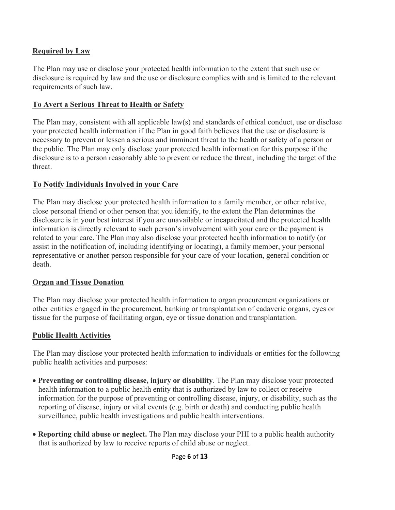#### **Required by Law**

The Plan may use or disclose your protected health information to the extent that such use or disclosure is required by law and the use or disclosure complies with and is limited to the relevant requirements of such law.

#### **To Avert a Serious Threat to Health or Safety**

The Plan may, consistent with all applicable law(s) and standards of ethical conduct, use or disclose your protected health information if the Plan in good faith believes that the use or disclosure is necessary to prevent or lessen a serious and imminent threat to the health or safety of a person or the public. The Plan may only disclose your protected health information for this purpose if the disclosure is to a person reasonably able to prevent or reduce the threat, including the target of the threat.

#### **To Notify Individuals Involved in your Care**

The Plan may disclose your protected health information to a family member, or other relative, close personal friend or other person that you identify, to the extent the Plan determines the disclosure is in your best interest if you are unavailable or incapacitated and the protected health information is directly relevant to such person's involvement with your care or the payment is related to your care. The Plan may also disclose your protected health information to notify (or assist in the notification of, including identifying or locating), a family member, your personal representative or another person responsible for your care of your location, general condition or death.

#### **Organ and Tissue Donation**

The Plan may disclose your protected health information to organ procurement organizations or other entities engaged in the procurement, banking or transplantation of cadaveric organs, eyes or tissue for the purpose of facilitating organ, eye or tissue donation and transplantation.

### **Public Health Activities**

The Plan may disclose your protected health information to individuals or entities for the following public health activities and purposes:

- **Preventing or controlling disease, injury or disability**. The Plan may disclose your protected health information to a public health entity that is authorized by law to collect or receive information for the purpose of preventing or controlling disease, injury, or disability, such as the reporting of disease, injury or vital events (e.g. birth or death) and conducting public health surveillance, public health investigations and public health interventions.
- **Reporting child abuse or neglect.** The Plan may disclose your PHI to a public health authority that is authorized by law to receive reports of child abuse or neglect.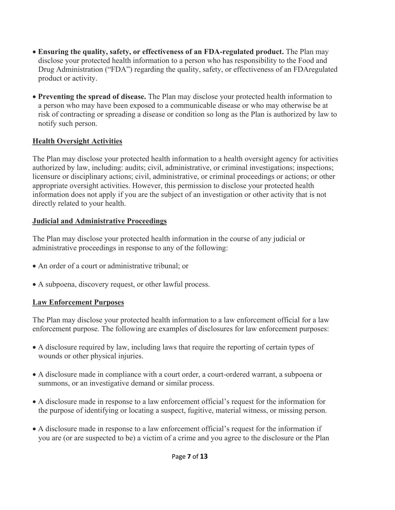- **Ensuring the quality, safety, or effectiveness of an FDA-regulated product.** The Plan may disclose your protected health information to a person who has responsibility to the Food and Drug Administration ("FDA") regarding the quality, safety, or effectiveness of an FDAregulated product or activity.
- **Preventing the spread of disease.** The Plan may disclose your protected health information to a person who may have been exposed to a communicable disease or who may otherwise be at risk of contracting or spreading a disease or condition so long as the Plan is authorized by law to notify such person.

### **Health Oversight Activities**

The Plan may disclose your protected health information to a health oversight agency for activities authorized by law, including: audits; civil, administrative, or criminal investigations; inspections; licensure or disciplinary actions; civil, administrative, or criminal proceedings or actions; or other appropriate oversight activities. However, this permission to disclose your protected health information does not apply if you are the subject of an investigation or other activity that is not directly related to your health.

### **Judicial and Administrative Proceedings**

The Plan may disclose your protected health information in the course of any judicial or administrative proceedings in response to any of the following:

- An order of a court or administrative tribunal; or
- A subpoena, discovery request, or other lawful process.

### **Law Enforcement Purposes**

The Plan may disclose your protected health information to a law enforcement official for a law enforcement purpose. The following are examples of disclosures for law enforcement purposes:

- A disclosure required by law, including laws that require the reporting of certain types of wounds or other physical injuries.
- A disclosure made in compliance with a court order, a court-ordered warrant, a subpoena or summons, or an investigative demand or similar process.
- A disclosure made in response to a law enforcement official's request for the information for the purpose of identifying or locating a suspect, fugitive, material witness, or missing person.
- A disclosure made in response to a law enforcement official's request for the information if you are (or are suspected to be) a victim of a crime and you agree to the disclosure or the Plan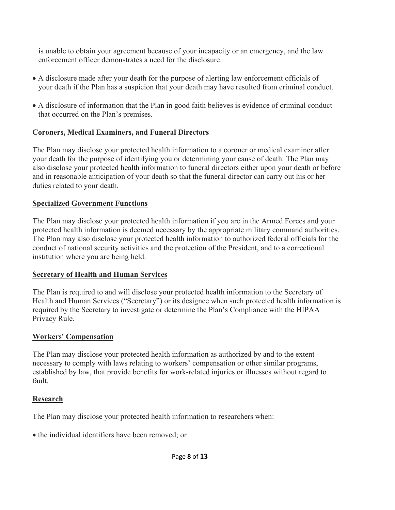is unable to obtain your agreement because of your incapacity or an emergency, and the law enforcement officer demonstrates a need for the disclosure.

- A disclosure made after your death for the purpose of alerting law enforcement officials of your death if the Plan has a suspicion that your death may have resulted from criminal conduct.
- A disclosure of information that the Plan in good faith believes is evidence of criminal conduct that occurred on the Plan's premises.

#### **Coroners, Medical Examiners, and Funeral Directors**

The Plan may disclose your protected health information to a coroner or medical examiner after your death for the purpose of identifying you or determining your cause of death. The Plan may also disclose your protected health information to funeral directors either upon your death or before and in reasonable anticipation of your death so that the funeral director can carry out his or her duties related to your death.

#### **Specialized Government Functions**

The Plan may disclose your protected health information if you are in the Armed Forces and your protected health information is deemed necessary by the appropriate military command authorities. The Plan may also disclose your protected health information to authorized federal officials for the conduct of national security activities and the protection of the President, and to a correctional institution where you are being held.

### **Secretary of Health and Human Services**

The Plan is required to and will disclose your protected health information to the Secretary of Health and Human Services ("Secretary") or its designee when such protected health information is required by the Secretary to investigate or determine the Plan's Compliance with the HIPAA Privacy Rule.

### **Workers' Compensation**

The Plan may disclose your protected health information as authorized by and to the extent necessary to comply with laws relating to workers' compensation or other similar programs, established by law, that provide benefits for work-related injuries or illnesses without regard to fault.

### **Research**

The Plan may disclose your protected health information to researchers when:

• the individual identifiers have been removed; or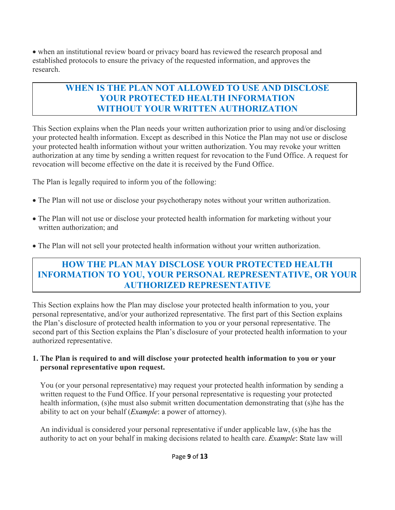• when an institutional review board or privacy board has reviewed the research proposal and established protocols to ensure the privacy of the requested information, and approves the research.

### **WHEN IS THE PLAN NOT ALLOWED TO USE AND DISCLOSE YOUR PROTECTED HEALTH INFORMATION WITHOUT YOUR WRITTEN AUTHORIZATION**

This Section explains when the Plan needs your written authorization prior to using and/or disclosing your protected health information. Except as described in this Notice the Plan may not use or disclose your protected health information without your written authorization. You may revoke your written authorization at any time by sending a written request for revocation to the Fund Office. A request for revocation will become effective on the date it is received by the Fund Office.

The Plan is legally required to inform you of the following:

- The Plan will not use or disclose your psychotherapy notes without your written authorization.
- The Plan will not use or disclose your protected health information for marketing without your written authorization; and
- The Plan will not sell your protected health information without your written authorization.

### **HOW THE PLAN MAY DISCLOSE YOUR PROTECTED HEALTH INFORMATION TO YOU, YOUR PERSONAL REPRESENTATIVE, OR YOUR AUTHORIZED REPRESENTATIVE**

This Section explains how the Plan may disclose your protected health information to you, your personal representative, and/or your authorized representative. The first part of this Section explains the Plan's disclosure of protected health information to you or your personal representative. The second part of this Section explains the Plan's disclosure of your protected health information to your authorized representative.

#### **1. The Plan is required to and will disclose your protected health information to you or your personal representative upon request.**

 You (or your personal representative) may request your protected health information by sending a written request to the Fund Office. If your personal representative is requesting your protected health information, (s)he must also submit written documentation demonstrating that (s)he has the ability to act on your behalf (*Example*: a power of attorney).

 An individual is considered your personal representative if under applicable law, (s)he has the authority to act on your behalf in making decisions related to health care. *Example*: State law will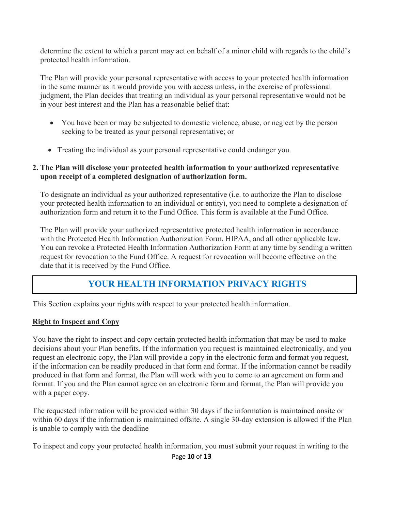determine the extent to which a parent may act on behalf of a minor child with regards to the child's protected health information.

 The Plan will provide your personal representative with access to your protected health information in the same manner as it would provide you with access unless, in the exercise of professional judgment, the Plan decides that treating an individual as your personal representative would not be in your best interest and the Plan has a reasonable belief that:

- You have been or may be subjected to domestic violence, abuse, or neglect by the person seeking to be treated as your personal representative; or
- Treating the individual as your personal representative could endanger you.

#### **2. The Plan will disclose your protected health information to your authorized representative upon receipt of a completed designation of authorization form.**

 To designate an individual as your authorized representative (i.e. to authorize the Plan to disclose your protected health information to an individual or entity), you need to complete a designation of authorization form and return it to the Fund Office. This form is available at the Fund Office.

 The Plan will provide your authorized representative protected health information in accordance with the Protected Health Information Authorization Form, HIPAA, and all other applicable law. You can revoke a Protected Health Information Authorization Form at any time by sending a written request for revocation to the Fund Office. A request for revocation will become effective on the date that it is received by the Fund Office.

### **YOUR HEALTH INFORMATION PRIVACY RIGHTS**

This Section explains your rights with respect to your protected health information.

#### **Right to Inspect and Copy**

You have the right to inspect and copy certain protected health information that may be used to make decisions about your Plan benefits. If the information you request is maintained electronically, and you request an electronic copy, the Plan will provide a copy in the electronic form and format you request, if the information can be readily produced in that form and format. If the information cannot be readily produced in that form and format, the Plan will work with you to come to an agreement on form and format. If you and the Plan cannot agree on an electronic form and format, the Plan will provide you with a paper copy.

The requested information will be provided within 30 days if the information is maintained onsite or within 60 days if the information is maintained offsite. A single 30-day extension is allowed if the Plan is unable to comply with the deadline

To inspect and copy your protected health information, you must submit your request in writing to the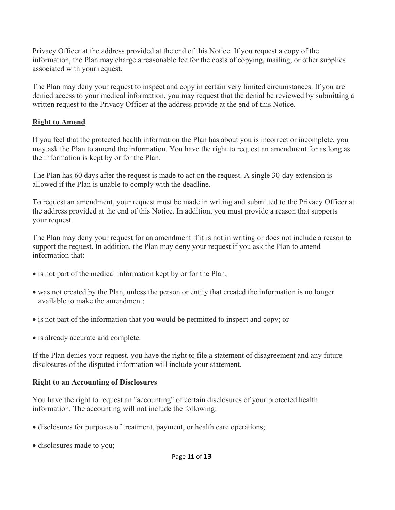Privacy Officer at the address provided at the end of this Notice. If you request a copy of the information, the Plan may charge a reasonable fee for the costs of copying, mailing, or other supplies associated with your request.

The Plan may deny your request to inspect and copy in certain very limited circumstances. If you are denied access to your medical information, you may request that the denial be reviewed by submitting a written request to the Privacy Officer at the address provide at the end of this Notice.

#### **Right to Amend**

If you feel that the protected health information the Plan has about you is incorrect or incomplete, you may ask the Plan to amend the information. You have the right to request an amendment for as long as the information is kept by or for the Plan.

The Plan has 60 days after the request is made to act on the request. A single 30-day extension is allowed if the Plan is unable to comply with the deadline.

To request an amendment, your request must be made in writing and submitted to the Privacy Officer at the address provided at the end of this Notice. In addition, you must provide a reason that supports your request.

The Plan may deny your request for an amendment if it is not in writing or does not include a reason to support the request. In addition, the Plan may deny your request if you ask the Plan to amend information that:

- is not part of the medical information kept by or for the Plan;
- was not created by the Plan, unless the person or entity that created the information is no longer available to make the amendment;
- is not part of the information that you would be permitted to inspect and copy; or
- is already accurate and complete.

If the Plan denies your request, you have the right to file a statement of disagreement and any future disclosures of the disputed information will include your statement.

### **Right to an Accounting of Disclosures**

You have the right to request an "accounting" of certain disclosures of your protected health information. The accounting will not include the following:

- disclosures for purposes of treatment, payment, or health care operations;
- disclosures made to you;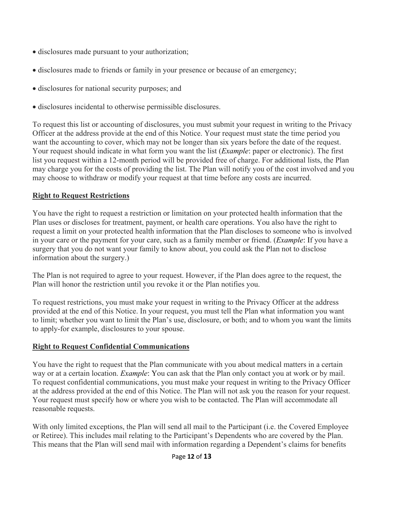- disclosures made pursuant to your authorization;
- disclosures made to friends or family in your presence or because of an emergency;
- disclosures for national security purposes; and
- disclosures incidental to otherwise permissible disclosures.

To request this list or accounting of disclosures, you must submit your request in writing to the Privacy Officer at the address provide at the end of this Notice. Your request must state the time period you want the accounting to cover, which may not be longer than six years before the date of the request. Your request should indicate in what form you want the list (*Example*: paper or electronic). The first list you request within a 12-month period will be provided free of charge. For additional lists, the Plan may charge you for the costs of providing the list. The Plan will notify you of the cost involved and you may choose to withdraw or modify your request at that time before any costs are incurred.

### **Right to Request Restrictions**

You have the right to request a restriction or limitation on your protected health information that the Plan uses or discloses for treatment, payment, or health care operations. You also have the right to request a limit on your protected health information that the Plan discloses to someone who is involved in your care or the payment for your care, such as a family member or friend. (*Example*: If you have a surgery that you do not want your family to know about, you could ask the Plan not to disclose information about the surgery.)

The Plan is not required to agree to your request. However, if the Plan does agree to the request, the Plan will honor the restriction until you revoke it or the Plan notifies you.

To request restrictions, you must make your request in writing to the Privacy Officer at the address provided at the end of this Notice. In your request, you must tell the Plan what information you want to limit; whether you want to limit the Plan's use, disclosure, or both; and to whom you want the limits to apply-for example, disclosures to your spouse.

### **Right to Request Confidential Communications**

You have the right to request that the Plan communicate with you about medical matters in a certain way or at a certain location. *Example*: You can ask that the Plan only contact you at work or by mail. To request confidential communications, you must make your request in writing to the Privacy Officer at the address provided at the end of this Notice. The Plan will not ask you the reason for your request. Your request must specify how or where you wish to be contacted. The Plan will accommodate all reasonable requests.

With only limited exceptions, the Plan will send all mail to the Participant (i.e. the Covered Employee or Retiree). This includes mail relating to the Participant's Dependents who are covered by the Plan. This means that the Plan will send mail with information regarding a Dependent's claims for benefits